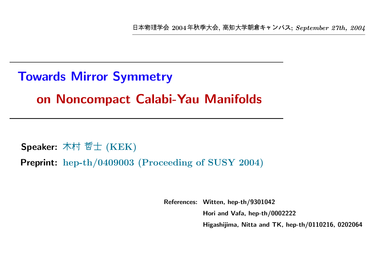|本物理学会 2004年秋季大会, 高知大学朝倉キャンパス; September 27th, 2004

# Towards Mirror Symmetry on Noncompact Calabi-Yau Manifolds

Speaker: 木村 哲士  $(KEK)$ Preprint: hep-th/0409003 (Proceeding of SUSY 2004)

References: Witten, hep-th/9301042

Hori and Vafa, hep-th/0002222

Higashijima, Nitta and TK, hep-th/0110216, 0202064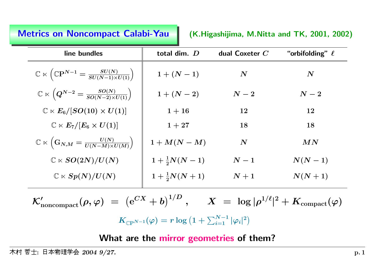### Metrics on

(K.Higashijima, M.Nitta and TK, 2001, 2002)

| total dim. D            | dual Coxeter $C$   | "orbifolding" $\ell$ |  |
|-------------------------|--------------------|----------------------|--|
| $1 + (N - 1)$           | $\bm{N}$           | $\bm{N}$             |  |
| $1 + (N - 2)$           | $\boldsymbol{N-2}$ | $\boldsymbol{N-2}$   |  |
| $1 + 16$                | 12                 | 12                   |  |
| $1 + 27$                | 18                 | 18                   |  |
| $1+M(N-M)$              | $\boldsymbol{N}$   | MN                   |  |
| $1 + \frac{1}{2}N(N-1)$ | $\boldsymbol{N-1}$ | $N(N-1)$             |  |
| $1+\frac{1}{2}N(N+1)$   | $N+1$              | $N(N+1)$             |  |
|                         |                    |                      |  |

 $\mathcal{K}'_{\text{noncompact}}(\rho,\varphi) \;=\; \left(\mathrm{e}^{CX} + b\right)^{1/D}\,,\quad \ \ X \;=\; \log|\rho^{1/\ell}|^2 + K_{\text{compact}}(\varphi)$  $K_{\mathbb{C}\mathrm{P}^{N-1}}(\varphi) = r \log \left(1 + \sum_{i=1}^{N-1} |\varphi_i|^2\right)$ 

What are the mirror geometries of them?

村 哲士:日本物理学会  $\rm 2004$  $9/27.$  p. 1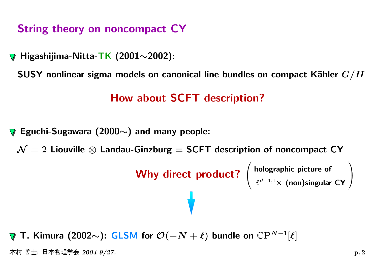String theory on noncompact CY

Higashijima-Nitta-TK (2001∼2002):

<code>SUSY</code> nonlinear sigma models on canonical line bundles on compact Kähler  $G/H$ 

# How about SCFT description?

Eguchi-Sugawara (2000 $\sim$ ) and many people:

 $\mathcal{N}=2$  Liouville  $\otimes$  Landau-Ginzburg = SCFT description of noncompact CY

```
Why direct product? \left( \begin{array}{c} \text{holographic picture of} \\ \mathbb{R}^{d-1,1}\times \text{(non)singular CY} \end{array} \right)
```
T. Kimura (2002 $\sim$ ): GLSM for  $\mathcal{O}(-N+\ell)$  bundle on  $\mathbb{C}\mathrm{P}^{N-1}[\ell]$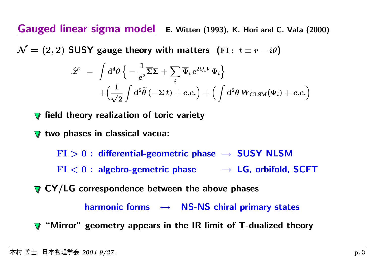Gauged linear sigma model E. Witten (1993), K. Hori and C. Vafa (2000)

 $\mathcal{N} = (2, 2)$  SUSY gauge theory with matters (FI:  $t \equiv r - i\theta$ )

$$
\mathcal{L} = \int d^4 \theta \left\{ -\frac{1}{e^2} \overline{\Sigma} \Sigma + \sum_i \overline{\Phi}_i e^{2Q_i V} \Phi_i \right\} + \left( \frac{1}{\sqrt{2}} \int d^2 \tilde{\theta} \left( -\Sigma t \right) + c.c. \right) + \left( \int d^2 \theta W_{\text{GLSM}}(\Phi_i) + c.c. \right)
$$

field theory realization of toric variety

two phases in classical vacua:

 ${\rm FI}>0$  : differential-geometric phase  $\;\rightarrow\;{\textbf{SUSY}}$  NLSM

 $\mathrm{FI} < 0$  : algebro-gemetric phase  $\quad \longrightarrow \, \mathsf{LG}$ , orbifold, SCFT

 $\nabla$  CY/LG correspondence between the above phases

harmonic forms  $\;\;\leftrightarrow\;\;$  NS-NS chiral primary states

"Mirror" geometry appears in the IR limit of T-dualized theory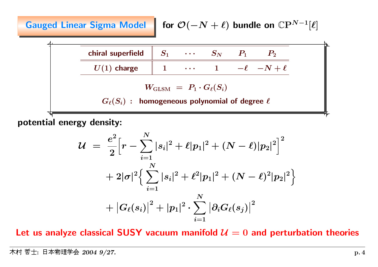Gauged Linear Sigma Model for  $\mathcal{O}(-N + \ell)$  bundle on  $\mathbb{C}P^{N-1}[\ell]$ 

chiral superfield  $\quad \ \parallel \ \, S_1 \quad \ \, \cdots \quad \ \ S_N$  $S_N$   $P_1$   $P_2$  $U(1)$  charge  $\begin{array}{cccc} \parallel & 1 & \cdots & 1 & -\ell & -N + \ell \end{array}$  $W_{\mathrm{GLSM}} \ = \ P_1 \cdot G_\ell(S_i)$  $G_{\ell}(S_i)$ : homogeneous polynomial of degree  $\ell$ 

potential energy density:

$$
\begin{array}{lcl} \displaystyle \mathcal{U} & = & \displaystyle \frac{e^2}{2} \Big[ r - \sum \limits_{i=1}^N |s_i|^2 + \ell |p_1|^2 + (N - \ell) |p_2|^2 \Big]^2 \\[0.4cm] & + & \displaystyle 2 |\sigma|^2 \Big\{ \sum \limits_{i=1}^N |s_i|^2 + \ell^2 |p_1|^2 + (N - \ell)^2 |p_2|^2 \Big\} \\[0.4cm] & + \big| G_\ell(s_i) \big|^2 + |p_1|^2 \cdot \sum \limits_{i=1}^N \big| \partial_i G_\ell(s_j) \big|^2 \end{array}
$$

Let us analyze classical SUSY vacuum manifold  $\mathcal{U}=0$  and perturbation theories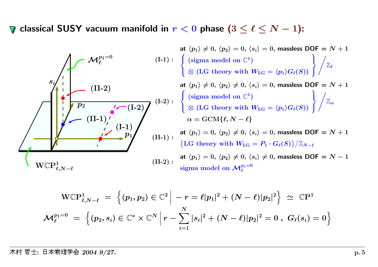classical SUSY vacuum manifold in  $r < 0$  phase  $(3 \leq \ell \leq N-1)$ :



$$
\text{WCP}^1_{\ell,N-\ell} \ = \ \Big\{ (p_1,p_2) \in \mathbb{C}^2 \ \Big| \ -r = \ell |p_1|^2 + (N-\ell) |p_2|^2 \Big\} \ \simeq \ \mathbb{C} \text{P}^1 \, \\ \mathcal{M}_\ell^{p_1=0} \ = \ \Big\{ (p_2,s_i) \in \mathbb{C}^* \times \mathbb{C}^N \ \Big| \ r - \sum_{i=1}^N |s_i|^2 + (N-\ell) |p_2|^2 = 0 \ , \ G_\ell(s_i) = 0 \Big\}
$$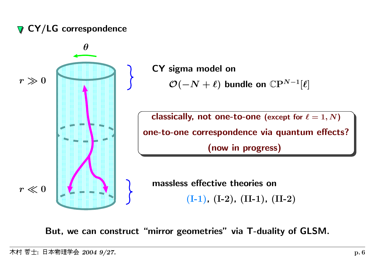# **⊽ CY/LG correspondence**



But, we can construct "mirror geometries" via T-duality of GLSM.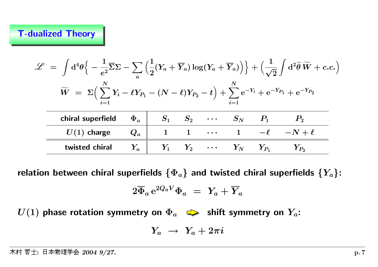#### T-dualized Theory

| $\mathscr{L} \;=\; \int \mathrm{d}^4 \theta \Big\{ -\frac{1}{e^2} \overline{\Sigma} \Sigma - \sum \Big(\frac{1}{2}(Y_a + \overline{Y}_a) \log (Y_a + \overline{Y}_a) \Big) \Big\} + \Big(\frac{1}{\sqrt{2}}\int \mathrm{d}^2 \widetilde{\theta} \, \widetilde{W} + c.c.\Big)$ |          |  |                               |                                      |                   |  |
|-------------------------------------------------------------------------------------------------------------------------------------------------------------------------------------------------------------------------------------------------------------------------------|----------|--|-------------------------------|--------------------------------------|-------------------|--|
| $\widetilde{W} = \Sigma \Big( \sum Y_i - \ell Y_{P_1} - (N - \ell)Y_{P_2} - t \Big) + \sum e^{-Y_i} + e^{-Y_{P_1}} + e^{-Y_{P_2}}$                                                                                                                                            |          |  |                               |                                      |                   |  |
| chiral superfield                                                                                                                                                                                                                                                             | $\Phi_a$ |  |                               | $S_1$ $S_2$ $\cdots$ $S_N$ $P_1$     |                   |  |
| $U(1)$ charge                                                                                                                                                                                                                                                                 | $Q_a$    |  | $\bullet$ $\bullet$ $\bullet$ |                                      | $-\ell$ $-N+\ell$ |  |
| twisted chiral                                                                                                                                                                                                                                                                | $Y_a$    |  |                               | $Y_1$ $Y_2$ $\cdots$ $Y_N$ $Y_{P_1}$ | $Y_{P_2}$         |  |

relation between chiral superfields  $\{\Phi_a\}$  and twisted chiral superfields  $\{Y_a\}$ :

$$
2\overline{\Phi}_a\,{\rm e}^{2Q_aV}\Phi_a\;=\;Y_a+\overline{Y}_a
$$

 $U(1)$  phase rotation symmetry on  $\Phi_a$   $\implies$  shift symmetry on  $Y_a$ :

$$
Y_a \ \to \ Y_a + 2 \pi i
$$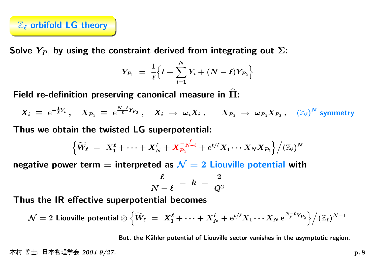

Solve  $Y_{P_1}$  by using the constraint derived from integrating out  $\Sigma$ :

$$
Y_{P_1} \,\,=\,\,\frac{1}{\ell} \Big\{ t - \sum_{i=1}^N Y_i + (N - \ell) Y_{P_2} \Big\}
$$

Field re-definition preserving canonical measure in  $\widehat\Pi$ <u>: L</u>

$$
X_i \; \equiv \; {\rm e}^{-\frac{1}{\ell} Y_i} \; , \quad X_{P_2} \; \equiv \; {\rm e}^{\frac{N-\ell}{\ell} Y_{P_2}} \; , \quad X_i \; \rightarrow \; \omega_i X_i \; , \qquad X_{P_2} \; \rightarrow \; \omega_{P_2} X_{P_2} \; , \quad (\mathbb{Z}_\ell)^N \; {\rm symmetry}
$$

Thus we obtain the twisted LG superpotential:

$$
\Big\{ \widetilde W_\ell \;=\; X_1^\ell + \cdots + X_N^\ell + X_{P_2}^{-\frac{\ell}{N-\ell}} + \mathrm{e}^{t/\ell} X_1 \cdots X_N X_{P_2} \Big\} \Big/ (\mathbb{Z}_\ell)^N
$$

negative power term = interpreted as  $\mathcal{N}=2$  Liouville potential with

$$
\frac{\ell}{N-\ell} \; = \; k \; = \; \frac{2}{Q^2}
$$

Thus the IR effective superpotential becomes

$$
\mathcal{N}=2 \text{ Liouville potential}\otimes\Big\{\widetilde{W}_\ell \;=\; X_1^\ell +\cdots + X_N^\ell+{\rm e}^{t/\ell}X_1\cdots X_N\,{\rm e}^{\frac{N-\ell}{\ell}Y_{P_2}}\Big\}\Big/(\mathbb{Z}_\ell)^{N-1}
$$

But, the Kähler potential of Liouville sector vanishes in the asymptotic region.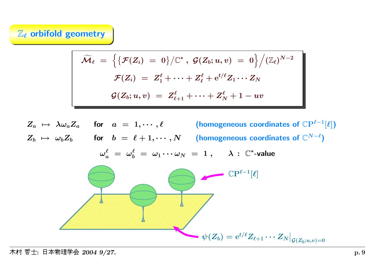## $\mathbb{Z}_{\ell}$  orbifold geometry

$$
\widetilde{\mathcal{M}}_\ell \;=\; \Big\{\big\{\mathcal{F}(Z_i)\;=\;0\big\}/\mathbb{C}^*\;,\;\mathcal{G}(Z_b;u,v)\;=\;0\Big\}\Big/(\mathbb{Z}_\ell)^{N-2} \notag\\ \mathcal{F}(Z_i)\;=\;Z_1^\ell+\cdots+Z_\ell^\ell+{\rm e}^{t/\ell}Z_1\cdots Z_N \notag\\ \mathcal{G}(Z_b;u,v)\;=\;Z_{\ell+1}^\ell+\cdots+Z_N^\ell+1-uv
$$

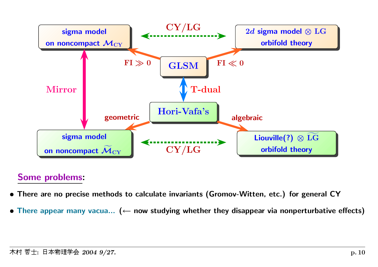

# Some problems:

- There are no precise methods to calculate invariants (Gromov-Witten, etc.) for genera<sup>l</sup> CY
- There appear many vacua... ( $\leftarrow$  now studying whether they disappear via nonperturbative effects)